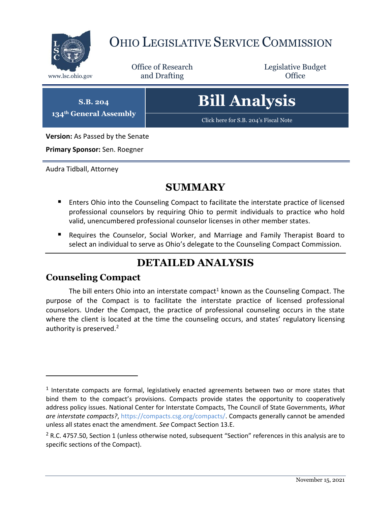

## OHIO LEGISLATIVE SERVICE COMMISSION

Office of Research www.lsc.ohio.gov **and Drafting Office** 

Legislative Budget

**S.B. 204 134th General Assembly**

# **Bill Analysis**

[Click here for S.B. 204](https://www.legislature.ohio.gov/legislation/legislation-documents?id=GA134-SB-204)'s Fiscal Note

**Version:** As Passed by the Senate

**Primary Sponsor:** Sen. Roegner

Audra Tidball, Attorney

### **SUMMARY**

- **E** Enters Ohio into the Counseling Compact to facilitate the interstate practice of licensed professional counselors by requiring Ohio to permit individuals to practice who hold valid, unencumbered professional counselor licenses in other member states.
- Requires the Counselor, Social Worker, and Marriage and Family Therapist Board to select an individual to serve as Ohio's delegate to the Counseling Compact Commission.

## **DETAILED ANALYSIS**

#### **Counseling Compact**

 $\overline{a}$ 

The bill enters Ohio into an interstate compact<sup>1</sup> known as the Counseling Compact. The purpose of the Compact is to facilitate the interstate practice of licensed professional counselors. Under the Compact, the practice of professional counseling occurs in the state where the client is located at the time the counseling occurs, and states' regulatory licensing authority is preserved.<sup>2</sup>

<sup>&</sup>lt;sup>1</sup> Interstate compacts are formal, legislatively enacted agreements between two or more states that bind them to the compact's provisions. Compacts provide states the opportunity to cooperatively address policy issues. National Center for Interstate Compacts, The Council of State Governments, *What are interstate compacts?*, [https://compacts.csg.org/compacts/.](https://compacts.csg.org/compacts/) Compacts generally cannot be amended unless all states enact the amendment. *See* Compact Section 13.E.

 $2$  R.C. 4757.50, Section 1 (unless otherwise noted, subsequent "Section" references in this analysis are to specific sections of the Compact).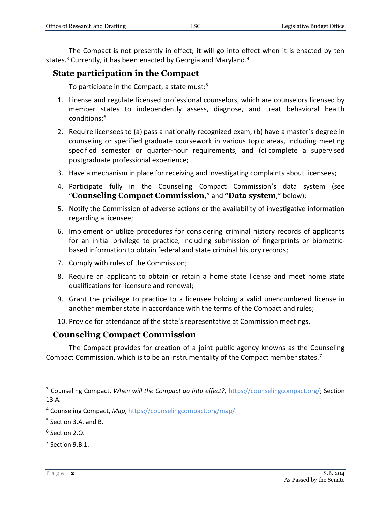The Compact is not presently in effect; it will go into effect when it is enacted by ten states.<sup>3</sup> Currently, it has been enacted by Georgia and Maryland.<sup>4</sup>

#### **State participation in the Compact**

To participate in the Compact, a state must: $5$ 

- 1. License and regulate licensed professional counselors, which are counselors licensed by member states to independently assess, diagnose, and treat behavioral health conditions;<sup>6</sup>
- 2. Require licensees to (a) pass a nationally recognized exam, (b) have a master's degree in counseling or specified graduate coursework in various topic areas, including meeting specified semester or quarter-hour requirements, and (c) complete a supervised postgraduate professional experience;
- 3. Have a mechanism in place for receiving and investigating complaints about licensees;
- 4. Participate fully in the Counseling Compact Commission's data system (see "**Counseling Compact Commission**," and "**Data system**," below);
- 5. Notify the Commission of adverse actions or the availability of investigative information regarding a licensee;
- 6. Implement or utilize procedures for considering criminal history records of applicants for an initial privilege to practice, including submission of fingerprints or biometricbased information to obtain federal and state criminal history records;
- 7. Comply with rules of the Commission;
- 8. Require an applicant to obtain or retain a home state license and meet home state qualifications for licensure and renewal;
- 9. Grant the privilege to practice to a licensee holding a valid unencumbered license in another member state in accordance with the terms of the Compact and rules;
- 10. Provide for attendance of the state's representative at Commission meetings.

#### **Counseling Compact Commission**

The Compact provides for creation of a joint public agency knowns as the Counseling Compact Commission, which is to be an instrumentality of the Compact member states.<sup>7</sup>

<sup>3</sup> Counseling Compact, *When will the Compact go into effect?*, [https://counselingcompact.org/;](https://counselingcompact.org/) Section 13.A.

<sup>4</sup> Counseling Compact, *Map*, [https://counselingcompact.org/map/.](https://counselingcompact.org/map/)

<sup>&</sup>lt;sup>5</sup> Section 3.A. and B.

<sup>6</sup> Section 2.O.

 $7$  Section 9.B.1.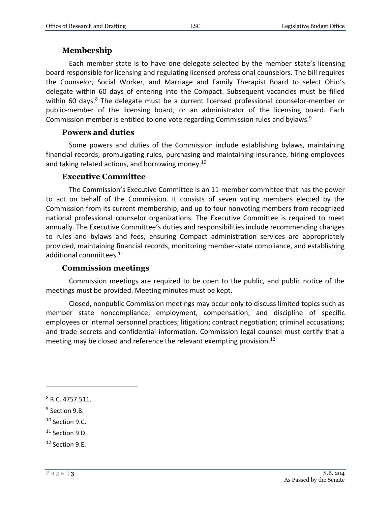#### **Membership**

Each member state is to have one delegate selected by the member state's licensing board responsible for licensing and regulating licensed professional counselors. The bill requires the Counselor, Social Worker, and Marriage and Family Therapist Board to select Ohio's delegate within 60 days of entering into the Compact. Subsequent vacancies must be filled within 60 days.<sup>8</sup> The delegate must be a current licensed professional counselor-member or public-member of the licensing board, or an administrator of the licensing board. Each Commission member is entitled to one vote regarding Commission rules and bylaws.<sup>9</sup>

#### **Powers and duties**

Some powers and duties of the Commission include establishing bylaws, maintaining financial records, promulgating rules, purchasing and maintaining insurance, hiring employees and taking related actions, and borrowing money.<sup>10</sup>

#### **Executive Committee**

The Commission's Executive Committee is an 11-member committee that has the power to act on behalf of the Commission. It consists of seven voting members elected by the Commission from its current membership, and up to four nonvoting members from recognized national professional counselor organizations. The Executive Committee is required to meet annually. The Executive Committee's duties and responsibilities include recommending changes to rules and bylaws and fees, ensuring Compact administration services are appropriately provided, maintaining financial records, monitoring member-state compliance, and establishing additional committees.<sup>11</sup>

#### **Commission meetings**

Commission meetings are required to be open to the public, and public notice of the meetings must be provided. Meeting minutes must be kept.

Closed, nonpublic Commission meetings may occur only to discuss limited topics such as member state noncompliance; employment, compensation, and discipline of specific employees or internal personnel practices; litigation; contract negotiation; criminal accusations; and trade secrets and confidential information. Commission legal counsel must certify that a meeting may be closed and reference the relevant exempting provision.<sup>12</sup>

 $\overline{a}$ 

<sup>10</sup> Section 9.C.

<sup>8</sup> R.C. 4757.511.

<sup>&</sup>lt;sup>9</sup> Section 9.B.

<sup>&</sup>lt;sup>11</sup> Section 9.D.

<sup>12</sup> Section 9.E.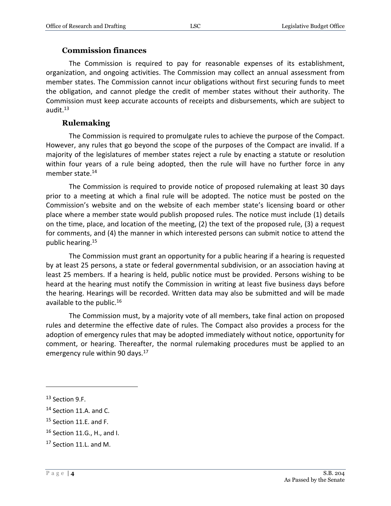#### **Commission finances**

The Commission is required to pay for reasonable expenses of its establishment, organization, and ongoing activities. The Commission may collect an annual assessment from member states. The Commission cannot incur obligations without first securing funds to meet the obligation, and cannot pledge the credit of member states without their authority. The Commission must keep accurate accounts of receipts and disbursements, which are subject to audit. $13$ 

#### **Rulemaking**

The Commission is required to promulgate rules to achieve the purpose of the Compact. However, any rules that go beyond the scope of the purposes of the Compact are invalid. If a majority of the legislatures of member states reject a rule by enacting a statute or resolution within four years of a rule being adopted, then the rule will have no further force in any member state.<sup>14</sup>

The Commission is required to provide notice of proposed rulemaking at least 30 days prior to a meeting at which a final rule will be adopted. The notice must be posted on the Commission's website and on the website of each member state's licensing board or other place where a member state would publish proposed rules. The notice must include (1) details on the time, place, and location of the meeting, (2) the text of the proposed rule, (3) a request for comments, and (4) the manner in which interested persons can submit notice to attend the public hearing.<sup>15</sup>

The Commission must grant an opportunity for a public hearing if a hearing is requested by at least 25 persons, a state or federal governmental subdivision, or an association having at least 25 members. If a hearing is held, public notice must be provided. Persons wishing to be heard at the hearing must notify the Commission in writing at least five business days before the hearing. Hearings will be recorded. Written data may also be submitted and will be made available to the public.<sup>16</sup>

The Commission must, by a majority vote of all members, take final action on proposed rules and determine the effective date of rules. The Compact also provides a process for the adoption of emergency rules that may be adopted immediately without notice, opportunity for comment, or hearing. Thereafter, the normal rulemaking procedures must be applied to an emergency rule within 90 days.<sup>17</sup>

<sup>13</sup> Section 9.F.

<sup>&</sup>lt;sup>14</sup> Section 11.A. and C.

<sup>&</sup>lt;sup>15</sup> Section 11.E. and F.

<sup>16</sup> Section 11.G., H., and I.

<sup>&</sup>lt;sup>17</sup> Section 11.L. and M.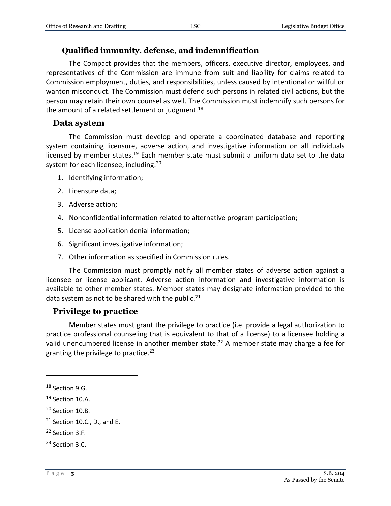#### **Qualified immunity, defense, and indemnification**

The Compact provides that the members, officers, executive director, employees, and representatives of the Commission are immune from suit and liability for claims related to Commission employment, duties, and responsibilities, unless caused by intentional or willful or wanton misconduct. The Commission must defend such persons in related civil actions, but the person may retain their own counsel as well. The Commission must indemnify such persons for the amount of a related settlement or judgment.<sup>18</sup>

#### **Data system**

The Commission must develop and operate a coordinated database and reporting system containing licensure, adverse action, and investigative information on all individuals licensed by member states.<sup>19</sup> Each member state must submit a uniform data set to the data system for each licensee, including:<sup>20</sup>

- 1. Identifying information;
- 2. Licensure data;
- 3. Adverse action;
- 4. Nonconfidential information related to alternative program participation;
- 5. License application denial information;
- 6. Significant investigative information;
- 7. Other information as specified in Commission rules.

The Commission must promptly notify all member states of adverse action against a licensee or license applicant. Adverse action information and investigative information is available to other member states. Member states may designate information provided to the data system as not to be shared with the public. $^{21}$ 

#### **Privilege to practice**

Member states must grant the privilege to practice (i.e. provide a legal authorization to practice professional counseling that is equivalent to that of a license) to a licensee holding a valid unencumbered license in another member state. <sup>22</sup> A member state may charge a fee for granting the privilege to practice.<sup>23</sup>

<sup>&</sup>lt;sup>18</sup> Section 9.G.

<sup>&</sup>lt;sup>19</sup> Section 10.A.

<sup>&</sup>lt;sup>20</sup> Section 10.B.

 $21$  Section 10.C., D., and E.

<sup>22</sup> Section 3.F.

<sup>23</sup> Section 3.C.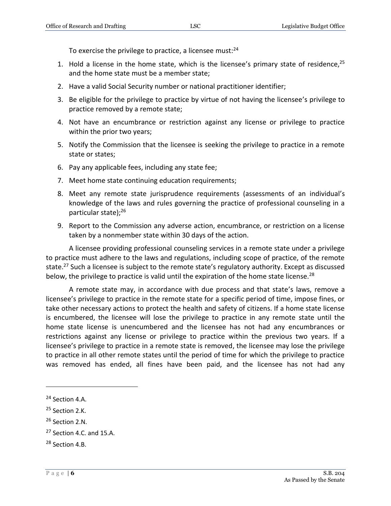To exercise the privilege to practice, a licensee must:<sup>24</sup>

- 1. Hold a license in the home state, which is the licensee's primary state of residence,  $25$ and the home state must be a member state;
- 2. Have a valid Social Security number or national practitioner identifier;
- 3. Be eligible for the privilege to practice by virtue of not having the licensee's privilege to practice removed by a remote state;
- 4. Not have an encumbrance or restriction against any license or privilege to practice within the prior two years;
- 5. Notify the Commission that the licensee is seeking the privilege to practice in a remote state or states;
- 6. Pay any applicable fees, including any state fee;
- 7. Meet home state continuing education requirements;
- 8. Meet any remote state jurisprudence requirements (assessments of an individual's knowledge of the laws and rules governing the practice of professional counseling in a particular state);<sup>26</sup>
- 9. Report to the Commission any adverse action, encumbrance, or restriction on a license taken by a nonmember state within 30 days of the action.

A licensee providing professional counseling services in a remote state under a privilege to practice must adhere to the laws and regulations, including scope of practice, of the remote state.<sup>27</sup> Such a licensee is subject to the remote state's regulatory authority. Except as discussed below, the privilege to practice is valid until the expiration of the home state license.<sup>28</sup>

A remote state may, in accordance with due process and that state's laws, remove a licensee's privilege to practice in the remote state for a specific period of time, impose fines, or take other necessary actions to protect the health and safety of citizens. If a home state license is encumbered, the licensee will lose the privilege to practice in any remote state until the home state license is unencumbered and the licensee has not had any encumbrances or restrictions against any license or privilege to practice within the previous two years. If a licensee's privilege to practice in a remote state is removed, the licensee may lose the privilege to practice in all other remote states until the period of time for which the privilege to practice was removed has ended, all fines have been paid, and the licensee has not had any

<sup>24</sup> Section 4.A.

<sup>&</sup>lt;sup>25</sup> Section 2.K.

<sup>&</sup>lt;sup>26</sup> Section 2.N.

 $27$  Section 4.C. and 15.A.

<sup>28</sup> Section 4.B.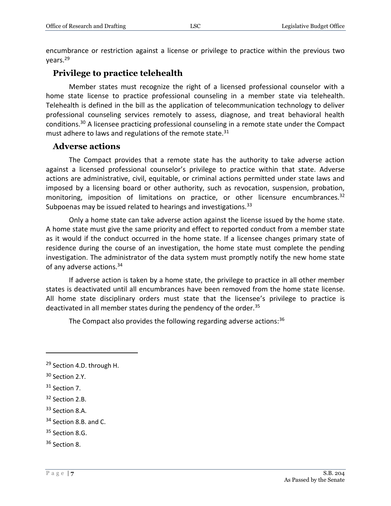encumbrance or restriction against a license or privilege to practice within the previous two years.<sup>29</sup>

#### **Privilege to practice telehealth**

Member states must recognize the right of a licensed professional counselor with a home state license to practice professional counseling in a member state via telehealth. Telehealth is defined in the bill as the application of telecommunication technology to deliver professional counseling services remotely to assess, diagnose, and treat behavioral health conditions.<sup>30</sup> A licensee practicing professional counseling in a remote state under the Compact must adhere to laws and regulations of the remote state.<sup>31</sup>

#### **Adverse actions**

The Compact provides that a remote state has the authority to take adverse action against a licensed professional counselor's privilege to practice within that state. Adverse actions are administrative, civil, equitable, or criminal actions permitted under state laws and imposed by a licensing board or other authority, such as revocation, suspension, probation, monitoring, imposition of limitations on practice, or other licensure encumbrances.<sup>32</sup> Subpoenas may be issued related to hearings and investigations.<sup>33</sup>

Only a home state can take adverse action against the license issued by the home state. A home state must give the same priority and effect to reported conduct from a member state as it would if the conduct occurred in the home state. If a licensee changes primary state of residence during the course of an investigation, the home state must complete the pending investigation. The administrator of the data system must promptly notify the new home state of any adverse actions.<sup>34</sup>

If adverse action is taken by a home state, the privilege to practice in all other member states is deactivated until all encumbrances have been removed from the home state license. All home state disciplinary orders must state that the licensee's privilege to practice is deactivated in all member states during the pendency of the order.<sup>35</sup>

The Compact also provides the following regarding adverse actions: $36$ 

 $\overline{a}$ 

<sup>35</sup> Section 8.G.

<sup>&</sup>lt;sup>29</sup> Section 4.D. through H.

<sup>&</sup>lt;sup>30</sup> Section 2.Y.

<sup>&</sup>lt;sup>31</sup> Section 7.

<sup>32</sup> Section 2.B.

<sup>33</sup> Section 8.A.

<sup>&</sup>lt;sup>34</sup> Section 8.B. and C.

<sup>36</sup> Section 8.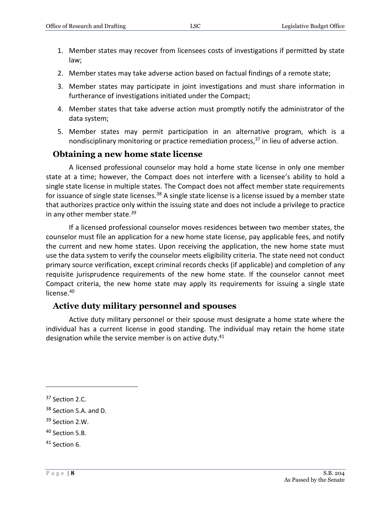- 1. Member states may recover from licensees costs of investigations if permitted by state law;
- 2. Member states may take adverse action based on factual findings of a remote state;
- 3. Member states may participate in joint investigations and must share information in furtherance of investigations initiated under the Compact;
- 4. Member states that take adverse action must promptly notify the administrator of the data system;
- 5. Member states may permit participation in an alternative program, which is a nondisciplinary monitoring or practice remediation process, $37$  in lieu of adverse action.

#### **Obtaining a new home state license**

A licensed professional counselor may hold a home state license in only one member state at a time; however, the Compact does not interfere with a licensee's ability to hold a single state license in multiple states. The Compact does not affect member state requirements for issuance of single state licenses.<sup>38</sup> A single state license is a license issued by a member state that authorizes practice only within the issuing state and does not include a privilege to practice in any other member state.<sup>39</sup>

If a licensed professional counselor moves residences between two member states, the counselor must file an application for a new home state license, pay applicable fees, and notify the current and new home states. Upon receiving the application, the new home state must use the data system to verify the counselor meets eligibility criteria. The state need not conduct primary source verification, except criminal records checks (if applicable) and completion of any requisite jurisprudence requirements of the new home state. If the counselor cannot meet Compact criteria, the new home state may apply its requirements for issuing a single state license.<sup>40</sup>

#### **Active duty military personnel and spouses**

Active duty military personnel or their spouse must designate a home state where the individual has a current license in good standing. The individual may retain the home state designation while the service member is on active duty.<sup>41</sup>

<sup>&</sup>lt;sup>37</sup> Section 2.C.

<sup>&</sup>lt;sup>38</sup> Section 5.A. and D.

<sup>39</sup> Section 2.W.

<sup>40</sup> Section 5.B.

<sup>41</sup> Section 6.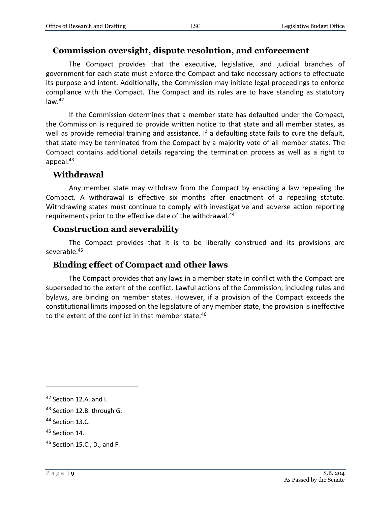#### **Commission oversight, dispute resolution, and enforcement**

The Compact provides that the executive, legislative, and judicial branches of government for each state must enforce the Compact and take necessary actions to effectuate its purpose and intent. Additionally, the Commission may initiate legal proceedings to enforce compliance with the Compact. The Compact and its rules are to have standing as statutory  $law.<sup>42</sup>$ 

If the Commission determines that a member state has defaulted under the Compact, the Commission is required to provide written notice to that state and all member states, as well as provide remedial training and assistance. If a defaulting state fails to cure the default, that state may be terminated from the Compact by a majority vote of all member states. The Compact contains additional details regarding the termination process as well as a right to appeal.<sup>43</sup>

#### **Withdrawal**

Any member state may withdraw from the Compact by enacting a law repealing the Compact. A withdrawal is effective six months after enactment of a repealing statute. Withdrawing states must continue to comply with investigative and adverse action reporting requirements prior to the effective date of the withdrawal.<sup>44</sup>

#### **Construction and severability**

The Compact provides that it is to be liberally construed and its provisions are severable.<sup>45</sup>

#### **Binding effect of Compact and other laws**

The Compact provides that any laws in a member state in conflict with the Compact are superseded to the extent of the conflict. Lawful actions of the Commission, including rules and bylaws, are binding on member states. However, if a provision of the Compact exceeds the constitutional limits imposed on the legislature of any member state, the provision is ineffective to the extent of the conflict in that member state.<sup>46</sup>

<sup>42</sup> Section 12.A. and I.

<sup>&</sup>lt;sup>43</sup> Section 12.B. through G.

<sup>&</sup>lt;sup>44</sup> Section 13.C.

<sup>45</sup> Section 14.

<sup>46</sup> Section 15.C., D., and F.